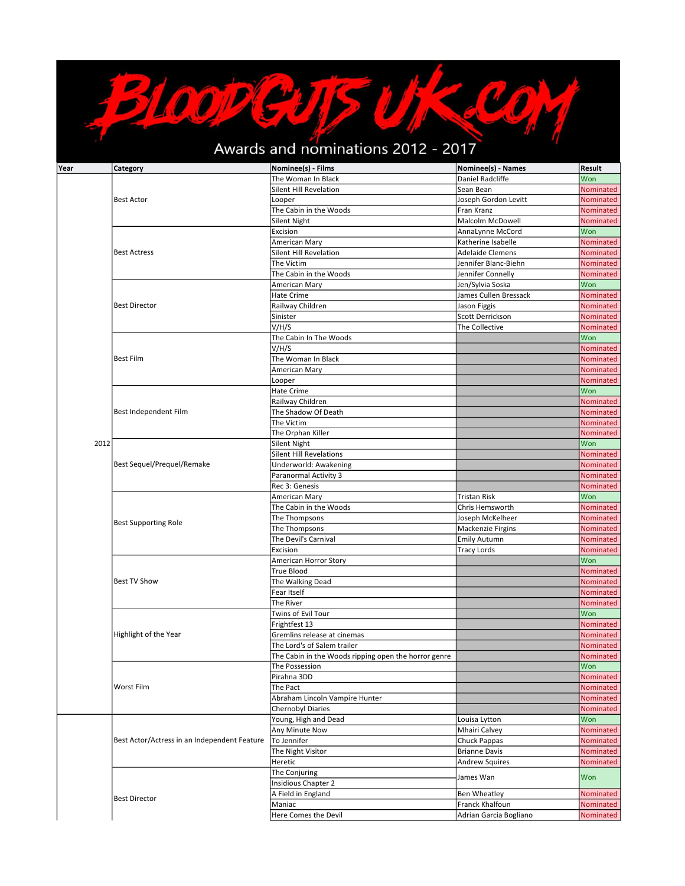## CON Awards and nominations 2012 - 2017

 $\sqrt{\frac{1}{2}}$ 

**BIODEVENTS** 

| Year | Category                                     | Nominee(s) - Films                                   | Nominee(s) - Names<br><b>Daniel Radcliffe</b> | <b>Result</b>    |
|------|----------------------------------------------|------------------------------------------------------|-----------------------------------------------|------------------|
|      | <b>Best Actor</b>                            | The Woman In Black                                   |                                               | Won              |
|      |                                              | Silent Hill Revelation                               | Sean Bean                                     | Nominated        |
|      |                                              | Looper                                               | Joseph Gordon Levitt                          | Nominated        |
|      |                                              | The Cabin in the Woods                               | Fran Kranz                                    | Nominated        |
|      |                                              | Silent Night                                         | Malcolm McDowell                              | Nominated        |
|      |                                              | Excision                                             | AnnaLynne McCord                              | Won              |
|      |                                              | American Mary                                        | Katherine Isabelle                            | Nominated        |
|      | <b>Best Actress</b>                          | Silent Hill Revelation                               | <b>Adelaide Clemens</b>                       | Nominated        |
|      |                                              | The Victim                                           | Jennifer Blanc-Biehn                          | Nominated        |
|      |                                              | The Cabin in the Woods                               | Jennifer Connelly                             | Nominated        |
|      | <b>Best Director</b>                         | American Mary                                        | Jen/Sylvia Soska                              | Won              |
|      |                                              | Hate Crime                                           | James Cullen Bressack                         | Nominated        |
|      |                                              | Railway Children                                     | Jason Figgis                                  | Nominated        |
|      |                                              | Sinister                                             | Scott Derrickson                              |                  |
|      |                                              |                                                      |                                               | Nominated        |
|      |                                              | V/H/S                                                | The Collective                                | Nominated        |
|      |                                              | The Cabin In The Woods                               |                                               | Won              |
|      |                                              | V/H/S                                                |                                               | Nominated        |
|      | <b>Best Film</b>                             | The Woman In Black                                   |                                               | Nominated        |
|      |                                              | American Mary                                        |                                               | Nominated        |
|      |                                              | Looper                                               |                                               | Nominated        |
|      |                                              | Hate Crime                                           |                                               | Won              |
|      |                                              | Railway Children                                     |                                               | Nominated        |
|      | Best Independent Film                        | The Shadow Of Death                                  |                                               | Nominated        |
|      |                                              | The Victim                                           |                                               | <b>Nominated</b> |
|      |                                              | The Orphan Killer                                    |                                               | Nominated        |
| 2012 |                                              | Silent Night                                         |                                               | Won              |
|      |                                              | <b>Silent Hill Revelations</b>                       |                                               |                  |
|      |                                              |                                                      |                                               | Nominated        |
|      | Best Sequel/Prequel/Remake                   | Underworld: Awakening                                |                                               | Nominated        |
|      |                                              | Paranormal Activity 3                                |                                               | Nominated        |
|      |                                              | Rec 3: Genesis                                       |                                               | Nominated        |
|      |                                              | American Mary                                        | <b>Tristan Risk</b>                           | Won              |
|      |                                              | The Cabin in the Woods                               | Chris Hemsworth                               | Nominated        |
|      | <b>Best Supporting Role</b>                  | The Thompsons                                        | Joseph McKelheer                              | Nominated        |
|      |                                              | The Thompsons                                        | Mackenzie Firgins                             | Nominated        |
|      |                                              | The Devil's Carnival                                 | <b>Emily Autumn</b>                           | Nominated        |
|      |                                              | Excision                                             | <b>Tracy Lords</b>                            | Nominated        |
|      |                                              | American Horror Story                                |                                               | Won              |
|      |                                              | True Blood                                           |                                               | Nominated        |
|      | <b>Best TV Show</b>                          | The Walking Dead                                     |                                               | Nominated        |
|      |                                              | Fear Itself                                          |                                               | Nominated        |
|      |                                              | The River                                            |                                               | Nominated        |
|      |                                              | Twins of Evil Tour                                   |                                               | Won              |
|      |                                              | Frightfest 13                                        |                                               |                  |
|      |                                              |                                                      |                                               | Nominated        |
|      | Highlight of the Year                        | Gremlins release at cinemas                          |                                               | Nominated        |
|      |                                              | The Lord's of Salem trailer                          |                                               | Nominated        |
|      |                                              | The Cabin in the Woods ripping open the horror genre |                                               | Nominated        |
|      |                                              | The Possession                                       |                                               | Won              |
|      |                                              | Pirahna 3DD                                          |                                               | Nominated        |
|      | Worst Film                                   | The Pact                                             |                                               | Nominated        |
|      |                                              | Abraham Lincoln Vampire Hunter                       |                                               | Nominated        |
|      |                                              | Chernobyl Diaries                                    |                                               | Nominated        |
|      |                                              | Young, High and Dead                                 | Louisa Lytton                                 | Won              |
|      |                                              | Any Minute Now                                       | Mhairi Calvey                                 | Nominated        |
|      | Best Actor/Actress in an Independent Feature | To Jennifer                                          | <b>Chuck Pappas</b>                           | Nominated        |
|      |                                              | The Night Visitor                                    | <b>Brianne Davis</b>                          | Nominated        |
|      |                                              | Heretic                                              | <b>Andrew Squires</b>                         | Nominated        |
|      |                                              | The Conjuring                                        |                                               |                  |
|      |                                              | <b>Insidious Chapter 2</b>                           | James Wan                                     | Won              |
|      |                                              |                                                      |                                               |                  |
|      | <b>Best Director</b>                         | A Field in England                                   | <b>Ben Wheatley</b>                           | Nominated        |
|      |                                              | Maniac                                               | Franck Khalfoun                               | Nominated        |
|      |                                              | Here Comes the Devil                                 | Adrian Garcia Bogliano                        | Nominated        |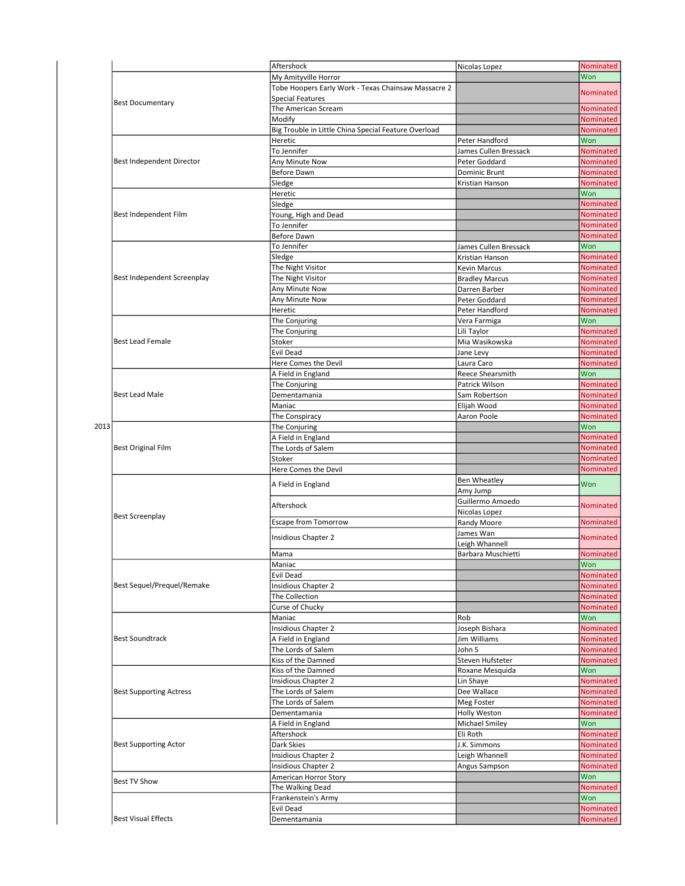|      |                                | Aftershock                                           | Nicolas Lopez         | Nominated        |
|------|--------------------------------|------------------------------------------------------|-----------------------|------------------|
|      |                                | My Amityville Horror                                 |                       | Won              |
|      | <b>Best Documentary</b>        | Tobe Hoopers Early Work - Texas Chainsaw Massacre 2  |                       | Nominated        |
|      |                                | <b>Special Features</b>                              |                       |                  |
|      |                                | The American Scream                                  |                       | Nominated        |
|      |                                | Modify                                               |                       | Nominated        |
|      |                                | Big Trouble in Little China Special Feature Overload |                       | Nominated        |
|      | Best Independent Director      | Heretic                                              | Peter Handford        | Won              |
|      |                                | To Jennifer                                          | James Cullen Bressack | Nominated        |
|      |                                |                                                      |                       |                  |
|      |                                | Any Minute Now                                       | Peter Goddard         | <b>Nominated</b> |
|      |                                | Before Dawn                                          | Dominic Brunt         | Nominated        |
|      |                                | Sledge                                               | Kristian Hanson       | Nominated        |
|      |                                | Heretic                                              |                       | Won              |
|      |                                | Sledge                                               |                       | Nominated        |
|      | Best Independent Film          | Young, High and Dead                                 |                       | Nominated        |
|      |                                | To Jennifer                                          |                       | Nominated        |
|      |                                | Before Dawn                                          |                       |                  |
|      |                                |                                                      |                       | Nominated        |
|      |                                | To Jennifer                                          | James Cullen Bressack | Won              |
|      |                                | Sledge                                               | Kristian Hanson       | Nominated        |
|      |                                | The Night Visitor                                    | <b>Kevin Marcus</b>   | <b>Nominated</b> |
|      | Best Independent Screenplay    | The Night Visitor                                    | <b>Bradley Marcus</b> | Nominated        |
|      |                                | Any Minute Now                                       | Darren Barber         | Nominated        |
|      |                                | Any Minute Now                                       | Peter Goddard         | Nominated        |
|      |                                | Heretic                                              | Peter Handford        | Nominated        |
|      |                                |                                                      |                       |                  |
|      |                                | The Conjuring                                        | Vera Farmiga          | Won              |
|      |                                | The Conjuring                                        | Lili Taylor           | Nominated        |
|      | <b>Best Lead Female</b>        | Stoker                                               | Mia Wasikowska        | Nominated        |
|      |                                | Evil Dead                                            | Jane Levy             | Nominated        |
|      |                                | Here Comes the Devil                                 | Laura Caro            | Nominated        |
|      |                                | A Field in England                                   | Reece Shearsmith      | Won              |
|      |                                | The Conjuring                                        | Patrick Wilson        | Nominated        |
|      |                                |                                                      |                       |                  |
|      | <b>Best Lead Male</b>          | Dementamania                                         | Sam Robertson         | Nominated        |
|      |                                | Maniac                                               | Elijah Wood           | Nominated        |
|      |                                | The Conspiracy                                       | Aaron Poole           | Nominated        |
| 2013 |                                | The Conjuring                                        |                       | Won              |
|      | <b>Best Original Film</b>      | A Field in England                                   |                       | Nominated        |
|      |                                | The Lords of Salem                                   |                       | Nominated        |
|      |                                | Stoker                                               |                       | Nominated        |
|      |                                | Here Comes the Devil                                 |                       | Nominated        |
|      |                                |                                                      |                       |                  |
|      |                                | A Field in England                                   | <b>Ben Wheatley</b>   | Won              |
|      |                                |                                                      | Amy Jump              |                  |
|      |                                | Aftershock                                           | Guillermo Amoedo      | <b>Nominated</b> |
|      | <b>Best Screenplay</b>         |                                                      | Nicolas Lopez         |                  |
|      |                                | <b>Escape from Tomorrow</b>                          | Randy Moore           | Nominated        |
|      |                                |                                                      | James Wan             |                  |
|      |                                | <b>Insidious Chapter 2</b>                           | Leigh Whannell        | <b>Nominated</b> |
|      |                                | Mama                                                 |                       | Nominated        |
|      |                                |                                                      | Barbara Muschietti    |                  |
|      |                                | Maniac                                               |                       | Won              |
|      |                                | Evil Dead                                            |                       | Nominated        |
|      | Best Sequel/Prequel/Remake     | Insidious Chapter 2                                  |                       | Nominated        |
|      |                                | The Collection                                       |                       | Nominated        |
|      |                                | Curse of Chucky                                      |                       | Nominated        |
|      |                                | Maniac                                               | Rob                   | Won              |
|      |                                | Insidious Chapter 2                                  | Joseph Bishara        | Nominated        |
|      | <b>Best Soundtrack</b>         |                                                      |                       | Nominated        |
|      |                                | A Field in England                                   | Jim Williams          |                  |
|      |                                | The Lords of Salem                                   | John 5                | Nominated        |
|      |                                | Kiss of the Damned                                   | Steven Hufsteter      | Nominated        |
|      |                                | Kiss of the Damned                                   | Roxane Mesquida       | Won              |
|      |                                | <b>Insidious Chapter 2</b>                           | Lin Shaye             | Nominated        |
|      | <b>Best Supporting Actress</b> | The Lords of Salem                                   | Dee Wallace           | Nominated        |
|      |                                | The Lords of Salem                                   | Meg Foster            | Nominated        |
|      |                                | Dementamania                                         | Holly Weston          | Nominated        |
|      |                                |                                                      | Michael Smiley        | Won              |
|      |                                | A Field in England                                   |                       |                  |
|      |                                | Aftershock                                           | Eli Roth              | Nominated        |
|      | <b>Best Supporting Actor</b>   | Dark Skies                                           | J.K. Simmons          | Nominated        |
|      |                                | Insidious Chapter 2                                  | Leigh Whannell        | Nominated        |
|      |                                | Insidious Chapter 2                                  | Angus Sampson         | Nominated        |
|      |                                | American Horror Story                                |                       | Won              |
|      | <b>Best TV Show</b>            | The Walking Dead                                     |                       | Nominated        |
|      |                                | Frankenstein's Army                                  |                       | Won              |
|      |                                | Evil Dead                                            |                       | Nominated        |
|      |                                |                                                      |                       |                  |
|      | <b>Best Visual Effects</b>     | Dementamania                                         |                       | Nominated        |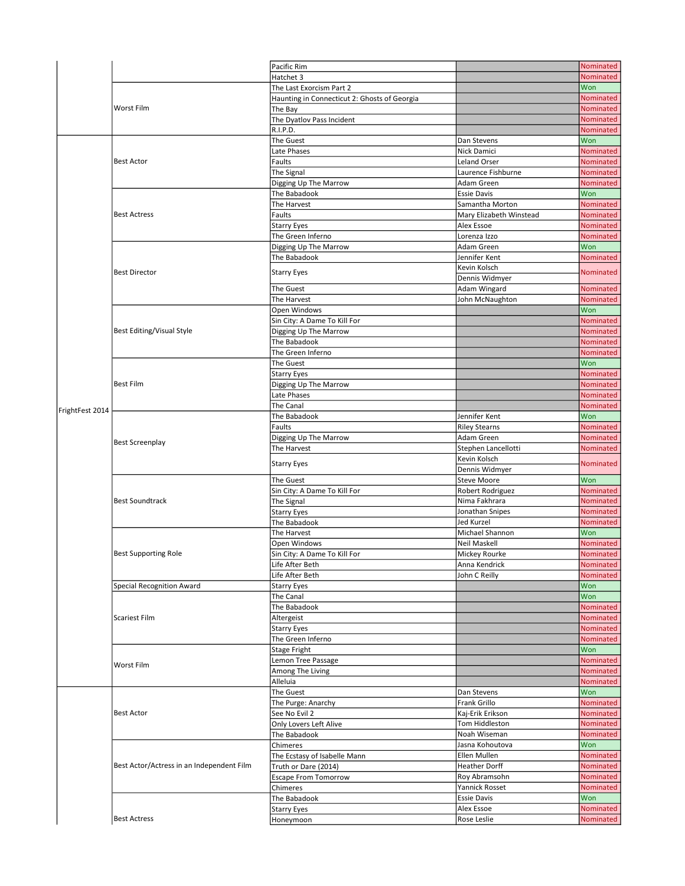|                 |                                           | Pacific Rim                                         |                                       | Nominated              |
|-----------------|-------------------------------------------|-----------------------------------------------------|---------------------------------------|------------------------|
|                 |                                           | Hatchet 3                                           |                                       | <b>Nominated</b>       |
|                 |                                           | The Last Exorcism Part 2                            |                                       | Won                    |
|                 |                                           | Haunting in Connecticut 2: Ghosts of Georgia        |                                       | <b>Nominated</b>       |
|                 | Worst Film                                | The Bay                                             |                                       | Nominated              |
|                 |                                           | The Dyatlov Pass Incident                           |                                       | Nominated              |
|                 |                                           | R.I.P.D.                                            |                                       | Nominated              |
|                 |                                           | The Guest                                           | Dan Stevens                           | Won                    |
|                 |                                           | Late Phases                                         | Nick Damici                           | Nominated              |
|                 | <b>Best Actor</b>                         | Faults                                              | <b>Leland Orser</b>                   | Nominated              |
|                 |                                           | The Signal                                          | Laurence Fishburne                    | Nominated              |
|                 |                                           | Digging Up The Marrow                               | Adam Green                            | Nominated              |
|                 |                                           | The Babadook<br>The Harvest                         | <b>Essie Davis</b><br>Samantha Morton | Won<br>Nominated       |
|                 | <b>Best Actress</b>                       | Faults                                              | Mary Elizabeth Winstead               | Nominated              |
|                 |                                           | Starry Eyes                                         | Alex Essoe                            | Nominated              |
|                 |                                           | The Green Inferno                                   | Lorenza Izzo                          | Nominated              |
|                 |                                           | Digging Up The Marrow                               | Adam Green                            | Won                    |
|                 |                                           | The Babadook                                        | Jennifer Kent                         | Nominated              |
|                 |                                           |                                                     | Kevin Kolsch                          |                        |
|                 | <b>Best Director</b>                      | <b>Starry Eyes</b>                                  | Dennis Widmyer                        | Nominated              |
|                 |                                           | The Guest                                           | Adam Wingard                          | <b>Nominated</b>       |
|                 |                                           | The Harvest                                         | John McNaughton                       | Nominated              |
|                 |                                           | Open Windows                                        |                                       | Won                    |
|                 |                                           | Sin City: A Dame To Kill For                        |                                       | Nominated              |
|                 | Best Editing/Visual Style                 | Digging Up The Marrow                               |                                       | Nominated              |
|                 |                                           | The Babadook                                        |                                       | <b>Nominated</b>       |
|                 |                                           | The Green Inferno                                   |                                       | Nominated              |
|                 |                                           | The Guest                                           |                                       | Won                    |
|                 |                                           | Starry Eyes                                         |                                       | Nominated              |
|                 | <b>Best Film</b>                          | Digging Up The Marrow                               |                                       | Nominated              |
|                 |                                           | Late Phases                                         |                                       | Nominated              |
| FrightFest 2014 |                                           | The Canal                                           |                                       | Nominated              |
|                 | <b>Best Screenplay</b>                    | The Babadook                                        | Jennifer Kent                         | Won                    |
|                 |                                           | Faults                                              | <b>Riley Stearns</b>                  | Nominated              |
|                 |                                           | Digging Up The Marrow                               | Adam Green                            | Nominated              |
|                 |                                           | The Harvest                                         | Stephen Lancellotti                   | Nominated              |
|                 |                                           | Starry Eyes                                         | Kevin Kolsch                          | Nominated              |
|                 |                                           | The Guest                                           | Dennis Widmyer<br><b>Steve Moore</b>  | Won                    |
|                 |                                           | Sin City: A Dame To Kill For                        | Robert Rodriguez                      | Nominated              |
|                 | <b>Best Soundtrack</b>                    | The Signal                                          | Nima Fakhrara                         | Nominated              |
|                 |                                           | Starry Eyes                                         | Jonathan Snipes                       | Nominated              |
|                 |                                           | The Babadook                                        | Jed Kurzel                            | Nominated              |
|                 |                                           | The Harvest                                         | Michael Shannon                       | Won                    |
|                 |                                           | Open Windows                                        | Neil Maskell                          |                        |
|                 | <b>Best Supporting Role</b>               |                                                     |                                       | Nominated              |
|                 |                                           | Sin City: A Dame To Kill For                        | Mickey Rourke                         | Nominated              |
|                 |                                           | Life After Beth                                     | Anna Kendrick                         | Nominated              |
|                 |                                           | Life After Beth                                     | John C Reilly                         | Nominated              |
|                 | Special Recognition Award                 | Starry Eyes                                         |                                       | Won                    |
|                 |                                           | The Canal                                           |                                       | Won                    |
|                 |                                           | The Babadook                                        |                                       | Nominated              |
|                 | Scariest Film                             | Altergeist                                          |                                       | Nominated              |
|                 |                                           | <b>Starry Eyes</b>                                  |                                       | Nominated              |
|                 |                                           | The Green Inferno                                   |                                       | Nominated              |
|                 |                                           | Stage Fright                                        |                                       | Won                    |
|                 | Worst Film                                | Lemon Tree Passage                                  |                                       | Nominated              |
|                 |                                           | Among The Living                                    |                                       | <b>Nominated</b>       |
|                 |                                           | Alleluia                                            |                                       | Nominated              |
|                 |                                           | The Guest                                           | Dan Stevens                           | Won                    |
|                 |                                           | The Purge: Anarchy                                  | Frank Grillo                          | Nominated              |
|                 | <b>Best Actor</b>                         | See No Evil 2                                       | Kaj-Erik Erikson                      | Nominated              |
|                 |                                           | Only Lovers Left Alive                              | Tom Hiddleston                        | Nominated              |
|                 |                                           | The Babadook                                        | Noah Wiseman                          | Nominated              |
|                 |                                           | Chimeres                                            | Jasna Kohoutova<br>Ellen Mullen       | Won                    |
|                 | Best Actor/Actress in an Independent Film | The Ecstasy of Isabelle Mann                        | <b>Heather Dorff</b>                  | Nominated<br>Nominated |
|                 |                                           | Truth or Dare (2014)<br><b>Escape From Tomorrow</b> | Roy Abramsohn                         | Nominated              |
|                 |                                           | Chimeres                                            | Yannick Rosset                        | Nominated              |
|                 |                                           | The Babadook                                        | <b>Essie Davis</b>                    | Won                    |
|                 |                                           | <b>Starry Eyes</b>                                  | Alex Essoe                            | Nominated              |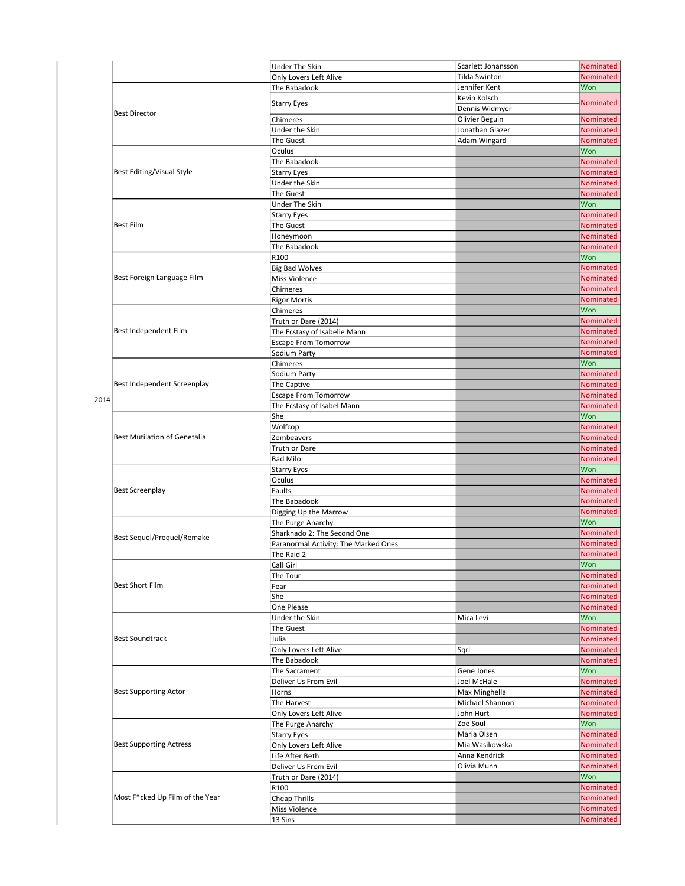|      |                                     | Under The Skin                       | Scarlett Johansson | Nominated        |
|------|-------------------------------------|--------------------------------------|--------------------|------------------|
|      |                                     | Only Lovers Left Alive               | Tilda Swinton      | Nominated        |
|      | <b>Best Director</b>                | The Babadook                         | Jennifer Kent      | Won              |
|      |                                     |                                      | Kevin Kolsch       |                  |
|      |                                     | <b>Starry Eyes</b>                   | Dennis Widmyer     | Nominated        |
|      |                                     | Chimeres                             | Olivier Beguin     | Nominated        |
|      |                                     | Under the Skin                       | Jonathan Glazer    | Nominated        |
|      |                                     |                                      |                    |                  |
|      |                                     | The Guest                            | Adam Wingard       | Nominated        |
|      | <b>Best Editing/Visual Style</b>    | Oculus                               |                    | Won              |
|      |                                     | The Babadook                         |                    | Nominated        |
|      |                                     | <b>Starry Eyes</b>                   |                    | Nominated        |
|      |                                     | Under the Skin                       |                    | Nominated        |
|      |                                     | The Guest                            |                    | Nominated        |
|      | <b>Best Film</b>                    | Under The Skin                       |                    | Won              |
|      |                                     | <b>Starry Eyes</b>                   |                    | Nominated        |
|      |                                     | The Guest                            |                    | Nominated        |
|      |                                     | Honeymoon                            |                    | Nominated        |
|      |                                     | The Babadook                         |                    | Nominated        |
|      |                                     | R100                                 |                    | Won              |
|      |                                     | <b>Big Bad Wolves</b>                |                    | Nominated        |
|      | Best Foreign Language Film          | Miss Violence                        |                    | Nominated        |
|      |                                     | Chimeres                             |                    | Nominated        |
|      |                                     |                                      |                    |                  |
|      |                                     | <b>Rigor Mortis</b>                  |                    | Nominated        |
|      |                                     | Chimeres                             |                    | Won              |
|      |                                     | Truth or Dare (2014)                 |                    | Nominated        |
|      | Best Independent Film               | The Ecstasy of Isabelle Mann         |                    | Nominated        |
|      |                                     | <b>Escape From Tomorrow</b>          |                    | Nominated        |
|      |                                     | Sodium Party                         |                    | <b>Nominated</b> |
|      |                                     | Chimeres                             |                    | Won              |
|      |                                     | Sodium Party                         |                    | Nominated        |
|      | Best Independent Screenplay         | The Captive                          |                    | Nominated        |
|      |                                     | <b>Escape From Tomorrow</b>          |                    | Nominated        |
| 2014 |                                     | The Ecstasy of Isabel Mann           |                    | Nominated        |
|      |                                     | She                                  |                    | Won              |
|      |                                     | Wolfcop                              |                    | Nominated        |
|      | <b>Best Mutilation of Genetalia</b> |                                      |                    | Nominated        |
|      |                                     | Zombeavers                           |                    |                  |
|      |                                     | Truth or Dare                        |                    | Nominated        |
|      |                                     | <b>Bad Milo</b>                      |                    | Nominated        |
|      |                                     | <b>Starry Eyes</b>                   |                    | Won              |
|      |                                     | Oculus                               |                    | Nominated        |
|      | <b>Best Screenplay</b>              | Faults                               |                    | Nominated        |
|      |                                     | The Babadook                         |                    | Nominated        |
|      |                                     | Digging Up the Marrow                |                    | Nominated        |
|      |                                     | The Purge Anarchy                    |                    | Won              |
|      |                                     | Sharknado 2: The Second One          |                    | Nominated        |
|      | Best Sequel/Prequel/Remake          | Paranormal Activity: The Marked Ones |                    | Nominated        |
|      |                                     | The Raid 2                           |                    | Nominated        |
|      |                                     | Call Girl                            |                    | Won              |
|      |                                     | The Tour                             |                    | Nominated        |
|      | <b>Best Short Film</b>              |                                      |                    | Nominated        |
|      |                                     | Fear                                 |                    | Nominated        |
|      |                                     | She                                  |                    |                  |
|      |                                     | One Please                           |                    | Nominated        |
|      |                                     | Under the Skin                       | Mica Levi          | Won              |
|      |                                     | The Guest                            |                    | Nominated        |
|      | <b>Best Soundtrack</b>              | Julia                                |                    | Nominated        |
|      |                                     | Only Lovers Left Alive               | Sqrl               | Nominated        |
|      |                                     | The Babadook                         |                    | Nominated        |
|      |                                     | The Sacrament                        | Gene Jones         | Won              |
|      |                                     | Deliver Us From Evil                 | Joel McHale        | Nominated        |
|      | <b>Best Supporting Actor</b>        | Horns                                | Max Minghella      | <b>Nominated</b> |
|      |                                     | The Harvest                          | Michael Shannon    | Nominated        |
|      |                                     | Only Lovers Left Alive               | John Hurt          | Nominated        |
|      |                                     | The Purge Anarchy                    | Zoe Soul           | Won              |
|      |                                     | <b>Starry Eyes</b>                   | Maria Olsen        | Nominated        |
|      |                                     |                                      | Mia Wasikowska     |                  |
|      | <b>Best Supporting Actress</b>      | Only Lovers Left Alive               |                    | Nominated        |
|      |                                     | Life After Beth                      | Anna Kendrick      | Nominated        |
|      |                                     | Deliver Us From Evil                 | Olivia Munn        | Nominated        |
|      |                                     | Truth or Dare (2014)                 |                    | Won              |
|      |                                     | R100                                 |                    | Nominated        |
|      | Most F*cked Up Film of the Year     | Cheap Thrills                        |                    | Nominated        |
|      |                                     | Miss Violence                        |                    | Nominated        |
|      |                                     | 13 Sins                              |                    | Nominated        |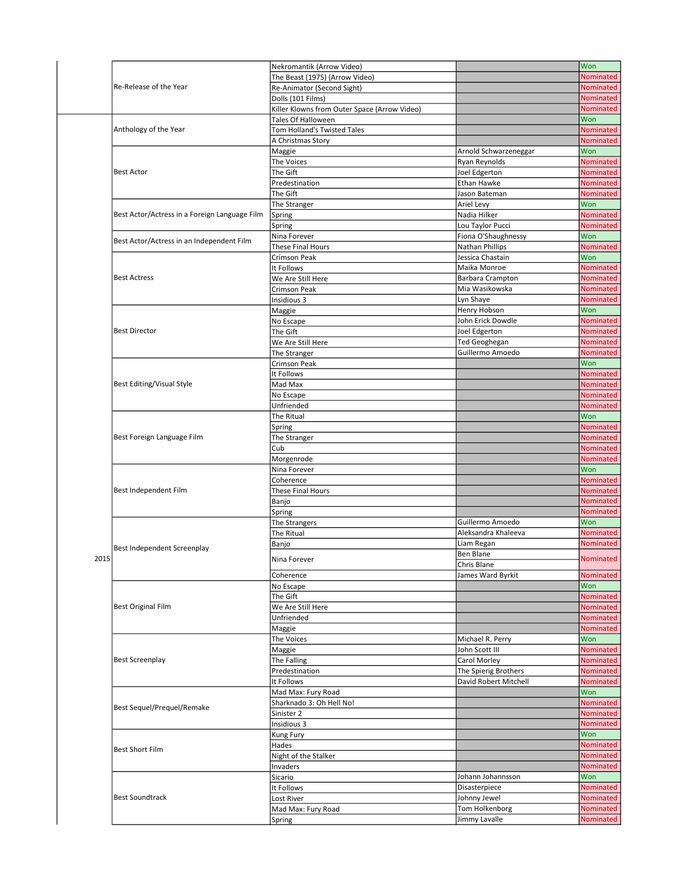|      | Re-Release of the Year                        | Nekromantik (Arrow Video)                    |                                   | Won                    |
|------|-----------------------------------------------|----------------------------------------------|-----------------------------------|------------------------|
|      |                                               | The Beast (1975) (Arrow Video)               |                                   | Nominated              |
|      |                                               | Re-Animator (Second Sight)                   |                                   | Nominated              |
|      |                                               | Dolls (101 Films)                            |                                   | <b>Nominated</b>       |
|      |                                               | Killer Klowns from Outer Space (Arrow Video) |                                   | Nominated              |
|      |                                               | Tales Of Halloween                           |                                   | Won                    |
|      | Anthology of the Year                         | Tom Holland's Twisted Tales                  |                                   | Nominated              |
|      |                                               | A Christmas Story                            |                                   | Nominated              |
|      |                                               | Maggie                                       | Arnold Schwarzeneggar             | Won                    |
|      |                                               | The Voices                                   | Ryan Reynolds                     | Nominated              |
|      | <b>Best Actor</b>                             | The Gift                                     | Joel Edgerton                     | Nominated              |
|      |                                               | Predestination                               | Ethan Hawke                       | Nominated              |
|      |                                               | The Gift                                     | Jason Bateman                     | Nominated              |
|      |                                               | The Stranger                                 | Ariel Levy                        | Won                    |
|      | Best Actor/Actress in a Foreign Language Film | Spring                                       | Nadia Hilker                      | Nominated              |
|      |                                               | Spring                                       | Lou Taylor Pucci                  | Nominated              |
|      |                                               | Nina Forever                                 | Fiona O'Shaughnessy               | Won                    |
|      | Best Actor/Actress in an Independent Film     | These Final Hours                            | Nathan Phillips                   | Nominated              |
|      |                                               | Crimson Peak                                 | Jessica Chastain                  | Won                    |
|      |                                               | It Follows                                   | Maika Monroe                      | Nominated              |
|      | <b>Best Actress</b>                           | We Are Still Here                            | Barbara Crampton                  | Nominated              |
|      |                                               | Crimson Peak                                 | Mia Wasikowska                    | <b>Nominated</b>       |
|      |                                               | Insidious 3                                  | Lyn Shaye                         | Nominated              |
|      |                                               |                                              |                                   | Won                    |
|      |                                               | Maggie                                       | Henry Hobson<br>John Erick Dowdle |                        |
|      | <b>Best Director</b>                          | No Escape                                    |                                   | Nominated<br>Nominated |
|      |                                               | The Gift                                     | Joel Edgerton                     |                        |
|      |                                               | We Are Still Here                            | Ted Geoghegan                     | <b>Nominated</b>       |
|      |                                               | The Stranger                                 | Guillermo Amoedo                  | Nominated              |
|      |                                               | <b>Crimson Peak</b>                          |                                   | Won                    |
|      |                                               | It Follows                                   |                                   | Nominated              |
|      | <b>Best Editing/Visual Style</b>              | Mad Max                                      |                                   | Nominated              |
|      |                                               | No Escape                                    |                                   | Nominated              |
|      |                                               | Unfriended                                   |                                   | Nominated              |
|      |                                               | The Ritual                                   |                                   | Won                    |
|      |                                               | Spring                                       |                                   | Nominated              |
|      | Best Foreign Language Film                    | The Stranger                                 |                                   | Nominated              |
|      |                                               | Cub                                          |                                   | Nominated              |
|      |                                               | Morgenrode                                   |                                   | Nominated              |
|      |                                               | Nina Forever                                 |                                   | Won                    |
|      |                                               | Coherence                                    |                                   | Nominated              |
|      | Best Independent Film                         | These Final Hours                            |                                   | Nominated              |
|      |                                               | Banjo                                        |                                   | Nominated              |
|      |                                               | Spring                                       |                                   | Nominated              |
|      |                                               | The Strangers                                | Guillermo Amoedo                  | Won                    |
|      |                                               | The Ritual                                   | Aleksandra Khaleeva               | Nominated              |
|      |                                               |                                              | Liam Regan                        | Nominated              |
|      | Best Independent Screenplay                   | Banjo                                        | <b>Ben Blane</b>                  |                        |
| 2015 |                                               | Nina Forever                                 | Chris Blane                       | Nominated              |
|      |                                               |                                              |                                   |                        |
|      |                                               | Coherence                                    | James Ward Byrkit                 | Nominated              |
|      |                                               | No Escape                                    |                                   | Won                    |
|      |                                               | The Gift                                     |                                   | Nominated              |
|      | <b>Best Original Film</b>                     | We Are Still Here                            |                                   | <b>Nominated</b>       |
|      |                                               | Unfriended                                   |                                   | Nominated              |
|      |                                               | Maggie                                       |                                   | Nominated              |
|      |                                               | The Voices                                   | Michael R. Perry                  | Won                    |
|      |                                               | Maggie                                       | John Scott III                    | Nominated              |
|      | <b>Best Screenplay</b>                        |                                              |                                   | Nominated              |
|      |                                               | The Falling                                  | Carol Morley                      |                        |
|      |                                               | Predestination                               | The Spierig Brothers              | Nominated              |
|      |                                               | It Follows                                   | David Robert Mitchell             | Nominated              |
|      |                                               | Mad Max: Fury Road                           |                                   | Won                    |
|      |                                               | Sharknado 3: Oh Hell No!                     |                                   | Nominated              |
|      | Best Sequel/Prequel/Remake                    | Sinister 2                                   |                                   | Nominated              |
|      |                                               |                                              |                                   |                        |
|      |                                               | Insidious 3                                  |                                   | Nominated              |
|      |                                               | Kung Fury                                    |                                   | Won                    |
|      | <b>Best Short Film</b>                        | Hades                                        |                                   | Nominated              |
|      |                                               | Night of the Stalker                         |                                   | Nominated              |
|      |                                               | Invaders                                     |                                   | Nominated              |
|      |                                               | Sicario                                      | Johann Johannsson                 | Won                    |
|      |                                               | It Follows                                   | Disasterpiece                     | Nominated              |
|      | <b>Best Soundtrack</b>                        | Lost River                                   | Johnny Jewel                      | Nominated              |
|      |                                               | Mad Max: Fury Road<br>Spring                 | Tom Holkenborg<br>Jimmy Lavalle   | Nominated<br>Nominated |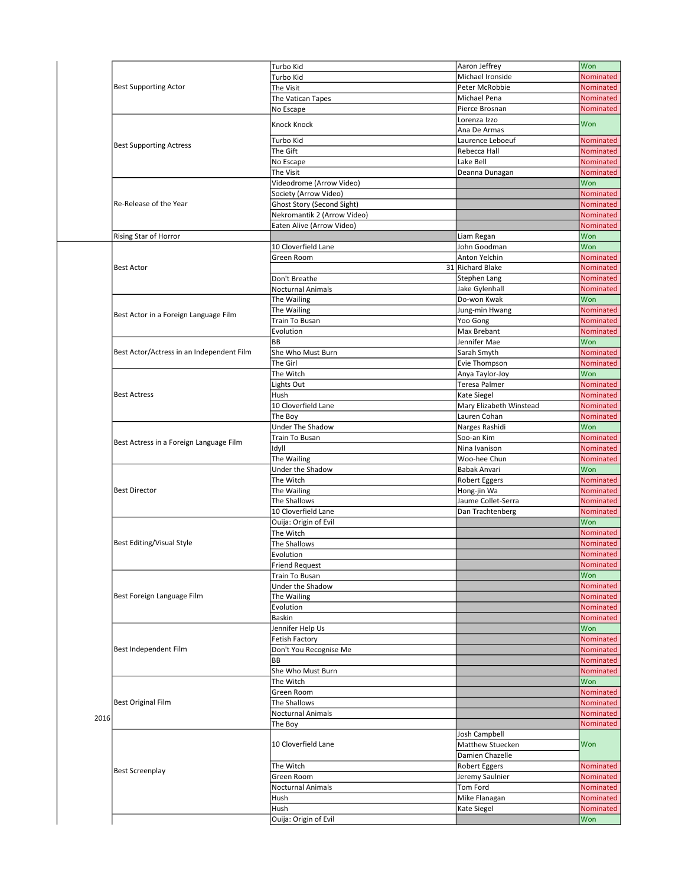|      | <b>Best Supporting Actor</b>              | Turbo Kid                   | Aaron Jeffrey           | Won              |
|------|-------------------------------------------|-----------------------------|-------------------------|------------------|
|      |                                           | Turbo Kid                   | Michael Ironside        | Nominated        |
|      |                                           | The Visit                   | Peter McRobbie          | Nominated        |
|      |                                           | The Vatican Tapes           | Michael Pena            | Nominated        |
|      |                                           | No Escape                   | Pierce Brosnan          | Nominated        |
|      |                                           |                             |                         |                  |
|      |                                           | Knock Knock                 | Lorenza Izzo            | Won              |
|      |                                           |                             | Ana De Armas            |                  |
|      | <b>Best Supporting Actress</b>            | Turbo Kid                   | Laurence Leboeuf        | <b>Nominated</b> |
|      |                                           | The Gift                    | Rebecca Hall            | Nominated        |
|      |                                           | No Escape                   | Lake Bell               | Nominated        |
|      |                                           | The Visit                   | Deanna Dunagan          | Nominated        |
|      |                                           | Videodrome (Arrow Video)    |                         | Won              |
|      |                                           | Society (Arrow Video)       |                         | Nominated        |
|      | Re-Release of the Year                    |                             |                         | Nominated        |
|      |                                           | Ghost Story (Second Sight)  |                         |                  |
|      |                                           | Nekromantik 2 (Arrow Video) |                         | Nominated        |
|      |                                           | Eaten Alive (Arrow Video)   |                         | Nominated        |
|      | Rising Star of Horror                     |                             | Liam Regan              | Won              |
|      |                                           | 10 Cloverfield Lane         | John Goodman            | Won              |
|      |                                           | Green Room                  | Anton Yelchin           | Nominated        |
|      | <b>Best Actor</b>                         |                             | 31 Richard Blake        | Nominated        |
|      |                                           | Don't Breathe               | <b>Stephen Lang</b>     | <b>Nominated</b> |
|      |                                           |                             | Jake Gylenhall          | Nominated        |
|      |                                           | <b>Nocturnal Animals</b>    |                         |                  |
|      |                                           | The Wailing                 | Do-won Kwak             | Won              |
|      | Best Actor in a Foreign Language Film     | The Wailing                 | Jung-min Hwang          | Nominated        |
|      |                                           | Train To Busan              | Yoo Gong                | Nominated        |
|      |                                           | Evolution                   | Max Brebant             | Nominated        |
|      |                                           | BB                          | Jennifer Mae            | Won              |
|      | Best Actor/Actress in an Independent Film | She Who Must Burn           | Sarah Smyth             | Nominated        |
|      |                                           | The Girl                    | Evie Thompson           | Nominated        |
|      |                                           |                             |                         |                  |
|      |                                           | The Witch                   | Anya Taylor-Joy         | Won              |
|      |                                           | Lights Out                  | Teresa Palmer           | Nominated        |
|      | <b>Best Actress</b>                       | Hush                        | Kate Siegel             | Nominated        |
|      |                                           | 10 Cloverfield Lane         | Mary Elizabeth Winstead | Nominated        |
|      |                                           | The Boy                     | Lauren Cohan            | Nominated        |
|      |                                           | <b>Under The Shadow</b>     | Narges Rashidi          | Won              |
|      |                                           | Train To Busan              | Soo-an Kim              | Nominated        |
|      | Best Actress in a Foreign Language Film   |                             |                         |                  |
|      |                                           | Idyll                       | Nina Ivanison           | Nominated        |
|      |                                           | The Wailing                 | Woo-hee Chun            | Nominated        |
|      |                                           | Under the Shadow            | Babak Anvari            | Won              |
|      |                                           | The Witch                   | Robert Eggers           | Nominated        |
|      | <b>Best Director</b>                      | The Wailing                 | Hong-jin Wa             | Nominated        |
|      |                                           | The Shallows                | Jaume Collet-Serra      | Nominated        |
|      |                                           | 10 Cloverfield Lane         | Dan Trachtenberg        | Nominated        |
|      |                                           | Ouija: Origin of Evil       |                         | Won              |
|      |                                           | The Witch                   |                         | Nominated        |
|      |                                           |                             |                         |                  |
|      | Best Editing/Visual Style                 | The Shallows                |                         | Nominated        |
|      |                                           | Evolution                   |                         | Nominated        |
|      |                                           | <b>Friend Request</b>       |                         | Nominated        |
|      |                                           | Train To Busan              |                         | Won              |
|      |                                           | Under the Shadow            |                         | Nominated        |
|      | Best Foreign Language Film                | The Wailing                 |                         | Nominated        |
|      |                                           | Evolution                   |                         | Nominated        |
|      |                                           | Baskin                      |                         | Nominated        |
|      |                                           |                             |                         | Won              |
|      |                                           | Jennifer Help Us            |                         |                  |
|      |                                           | <b>Fetish Factory</b>       |                         | Nominated        |
|      | Best Independent Film                     | Don't You Recognise Me      |                         | Nominated        |
|      |                                           | ВB                          |                         | Nominated        |
|      |                                           | She Who Must Burn           |                         | Nominated        |
|      |                                           | The Witch                   |                         | Won              |
|      |                                           | Green Room                  |                         | Nominated        |
|      |                                           |                             |                         | Nominated        |
|      | <b>Best Original Film</b>                 | The Shallows                |                         |                  |
| 2016 |                                           | Nocturnal Animals           |                         | Nominated        |
|      |                                           | The Boy                     |                         | Nominated        |
|      |                                           |                             | Josh Campbell           |                  |
|      |                                           | 10 Cloverfield Lane         | Matthew Stuecken        | Won              |
|      |                                           |                             | Damien Chazelle         |                  |
|      |                                           | The Witch                   | <b>Robert Eggers</b>    | Nominated        |
|      | <b>Best Screenplay</b>                    | Green Room                  | Jeremy Saulnier         | Nominated        |
|      |                                           |                             |                         |                  |
|      |                                           | Nocturnal Animals           | Tom Ford                | Nominated        |
|      |                                           | Hush                        | Mike Flanagan           | Nominated        |
|      |                                           | Hush                        | Kate Siegel             | Nominated        |
|      |                                           | Ouija: Origin of Evil       |                         | Won              |
|      |                                           |                             |                         |                  |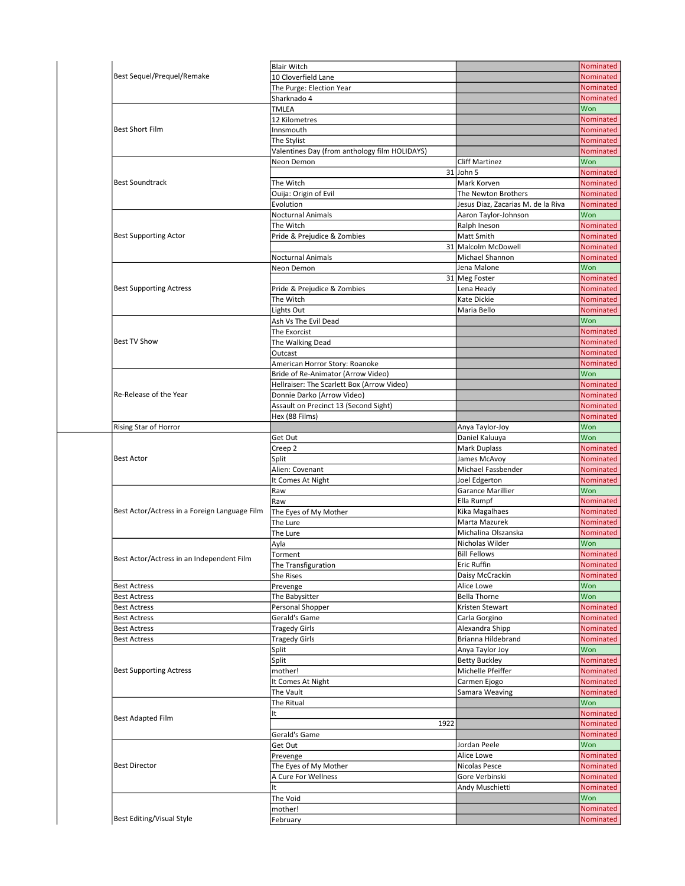|                                               | <b>Blair Witch</b>                            |                                    | Nominated                                                                                                                                                                                                                                     |
|-----------------------------------------------|-----------------------------------------------|------------------------------------|-----------------------------------------------------------------------------------------------------------------------------------------------------------------------------------------------------------------------------------------------|
| Best Sequel/Prequel/Remake                    | 10 Cloverfield Lane                           |                                    | Nominated                                                                                                                                                                                                                                     |
|                                               | The Purge: Election Year                      |                                    | <b>Nominated</b>                                                                                                                                                                                                                              |
|                                               | Sharknado 4                                   |                                    | Nominated                                                                                                                                                                                                                                     |
|                                               | TMLEA                                         |                                    | Won                                                                                                                                                                                                                                           |
|                                               | 12 Kilometres                                 |                                    | Nominated                                                                                                                                                                                                                                     |
| <b>Best Short Film</b>                        | Innsmouth                                     |                                    | <b>Nominated</b>                                                                                                                                                                                                                              |
|                                               | The Stylist                                   |                                    | Nominated                                                                                                                                                                                                                                     |
|                                               |                                               |                                    |                                                                                                                                                                                                                                               |
|                                               | Valentines Day (from anthology film HOLIDAYS) |                                    | Nominated                                                                                                                                                                                                                                     |
|                                               | Neon Demon                                    | <b>Cliff Martinez</b>              | Won                                                                                                                                                                                                                                           |
|                                               |                                               | $31$ John 5                        | Nominated                                                                                                                                                                                                                                     |
| <b>Best Soundtrack</b>                        | The Witch                                     | Mark Korven                        | Nominated                                                                                                                                                                                                                                     |
|                                               | Ouija: Origin of Evil                         | The Newton Brothers                | Nominated                                                                                                                                                                                                                                     |
|                                               | Evolution                                     | Jesus Diaz, Zacarias M. de la Riva | Nominated                                                                                                                                                                                                                                     |
|                                               | <b>Nocturnal Animals</b>                      | Aaron Taylor-Johnson               | Won                                                                                                                                                                                                                                           |
|                                               | The Witch                                     | Ralph Ineson                       | Nominated                                                                                                                                                                                                                                     |
| <b>Best Supporting Actor</b>                  | Pride & Prejudice & Zombies                   | Matt Smith                         | Nominated                                                                                                                                                                                                                                     |
|                                               |                                               | 31 Malcolm McDowell                | Nominated                                                                                                                                                                                                                                     |
|                                               | Nocturnal Animals                             | Michael Shannon                    | Nominated                                                                                                                                                                                                                                     |
|                                               | Neon Demon                                    | Jena Malone                        | Won                                                                                                                                                                                                                                           |
|                                               |                                               |                                    |                                                                                                                                                                                                                                               |
|                                               |                                               | 31 Meg Foster                      | Nominated                                                                                                                                                                                                                                     |
| <b>Best Supporting Actress</b>                | Pride & Prejudice & Zombies                   | Lena Heady                         | <b>Nominated</b>                                                                                                                                                                                                                              |
|                                               | The Witch                                     | Kate Dickie                        | Nominated                                                                                                                                                                                                                                     |
|                                               | Lights Out                                    | Maria Bello                        | <b>Nominated</b>                                                                                                                                                                                                                              |
|                                               | Ash Vs The Evil Dead                          |                                    | Won                                                                                                                                                                                                                                           |
|                                               | The Exorcist                                  |                                    | <b>Nominated</b>                                                                                                                                                                                                                              |
| <b>Best TV Show</b>                           | The Walking Dead                              |                                    | Nominated                                                                                                                                                                                                                                     |
|                                               | Outcast                                       |                                    | Nominated                                                                                                                                                                                                                                     |
|                                               | American Horror Story: Roanoke                |                                    | Nominated                                                                                                                                                                                                                                     |
|                                               | Bride of Re-Animator (Arrow Video)            |                                    | Won                                                                                                                                                                                                                                           |
|                                               |                                               |                                    | Nominated                                                                                                                                                                                                                                     |
| Re-Release of the Year                        | Hellraiser: The Scarlett Box (Arrow Video)    |                                    |                                                                                                                                                                                                                                               |
|                                               | Donnie Darko (Arrow Video)                    |                                    | Nominated                                                                                                                                                                                                                                     |
|                                               | Assault on Precinct 13 (Second Sight)         |                                    | Nominated                                                                                                                                                                                                                                     |
|                                               | Hex (88 Films)                                |                                    | Nominated                                                                                                                                                                                                                                     |
| Rising Star of Horror                         |                                               | Anya Taylor-Joy                    | Won                                                                                                                                                                                                                                           |
|                                               | Get Out                                       | Daniel Kaluuya                     | Won                                                                                                                                                                                                                                           |
|                                               | Creep 2                                       | <b>Mark Duplass</b>                | Nominated                                                                                                                                                                                                                                     |
| <b>Best Actor</b>                             | Split                                         | James McAvoy                       | Nominated                                                                                                                                                                                                                                     |
|                                               | Alien: Covenant                               | Michael Fassbender                 | Nominated                                                                                                                                                                                                                                     |
|                                               | It Comes At Night                             | Joel Edgerton                      | Nominated                                                                                                                                                                                                                                     |
|                                               | Raw                                           | Garance Marillier                  | Won                                                                                                                                                                                                                                           |
|                                               | Raw                                           | Ella Rumpf                         | Nominated                                                                                                                                                                                                                                     |
| Best Actor/Actress in a Foreign Language Film | The Eyes of My Mother                         | Kika Magalhaes                     | Nominated                                                                                                                                                                                                                                     |
|                                               |                                               | Marta Mazurek                      |                                                                                                                                                                                                                                               |
|                                               | The Lure                                      |                                    | Nominated                                                                                                                                                                                                                                     |
|                                               | The Lure                                      | Michalina Olszanska                | Nominated                                                                                                                                                                                                                                     |
|                                               | Ayla                                          | Nicholas Wilder                    |                                                                                                                                                                                                                                               |
|                                               | Torment                                       |                                    | Won                                                                                                                                                                                                                                           |
|                                               |                                               | <b>Bill Fellows</b>                |                                                                                                                                                                                                                                               |
| Best Actor/Actress in an Independent Film     | The Transfiguration                           | Eric Ruffin                        |                                                                                                                                                                                                                                               |
|                                               | She Rises                                     | Daisy McCrackin                    |                                                                                                                                                                                                                                               |
| <b>Best Actress</b>                           | Prevenge                                      | Alice Lowe                         | Won                                                                                                                                                                                                                                           |
|                                               |                                               | <b>Bella Thorne</b>                |                                                                                                                                                                                                                                               |
| <b>Best Actress</b>                           | The Babysitter                                |                                    | Won                                                                                                                                                                                                                                           |
| <b>Best Actress</b>                           | Personal Shopper                              | Kristen Stewart                    |                                                                                                                                                                                                                                               |
| <b>Best Actress</b>                           | Gerald's Game                                 | Carla Gorgino                      |                                                                                                                                                                                                                                               |
| <b>Best Actress</b>                           | <b>Tragedy Girls</b>                          | Alexandra Shipp                    |                                                                                                                                                                                                                                               |
| <b>Best Actress</b>                           | <b>Tragedy Girls</b>                          | Brianna Hildebrand                 |                                                                                                                                                                                                                                               |
|                                               | Split                                         | Anya Taylor Joy                    | Won                                                                                                                                                                                                                                           |
|                                               | Split                                         | <b>Betty Buckley</b>               |                                                                                                                                                                                                                                               |
| <b>Best Supporting Actress</b>                | mother!                                       | Michelle Pfeiffer                  |                                                                                                                                                                                                                                               |
|                                               | It Comes At Night                             | Carmen Ejogo                       |                                                                                                                                                                                                                                               |
|                                               | The Vault                                     | Samara Weaving                     |                                                                                                                                                                                                                                               |
|                                               |                                               |                                    |                                                                                                                                                                                                                                               |
|                                               | The Ritual                                    |                                    | Won                                                                                                                                                                                                                                           |
| Best Adapted Film                             | It                                            |                                    |                                                                                                                                                                                                                                               |
|                                               | 1922                                          |                                    |                                                                                                                                                                                                                                               |
|                                               | Gerald's Game                                 |                                    |                                                                                                                                                                                                                                               |
|                                               | Get Out                                       | Jordan Peele                       | Won                                                                                                                                                                                                                                           |
|                                               | Prevenge                                      | Alice Lowe                         |                                                                                                                                                                                                                                               |
| <b>Best Director</b>                          | The Eyes of My Mother                         | Nicolas Pesce                      |                                                                                                                                                                                                                                               |
|                                               | A Cure For Wellness                           | Gore Verbinski                     |                                                                                                                                                                                                                                               |
|                                               | It                                            |                                    |                                                                                                                                                                                                                                               |
|                                               |                                               | Andy Muschietti                    | Nominated<br>Nominated<br>Nominated<br>Nominated<br>Nominated<br>Nominated<br>Nominated<br>Nominated<br>Nominated<br>Nominated<br>Nominated<br>Nominated<br><b>Nominated</b><br>Nominated<br>Nominated<br>Nominated<br>Nominated<br>Nominated |
|                                               | The Void                                      |                                    | Won                                                                                                                                                                                                                                           |
| Best Editing/Visual Style                     | mother!<br>February                           |                                    | Nominated<br>Nominated                                                                                                                                                                                                                        |